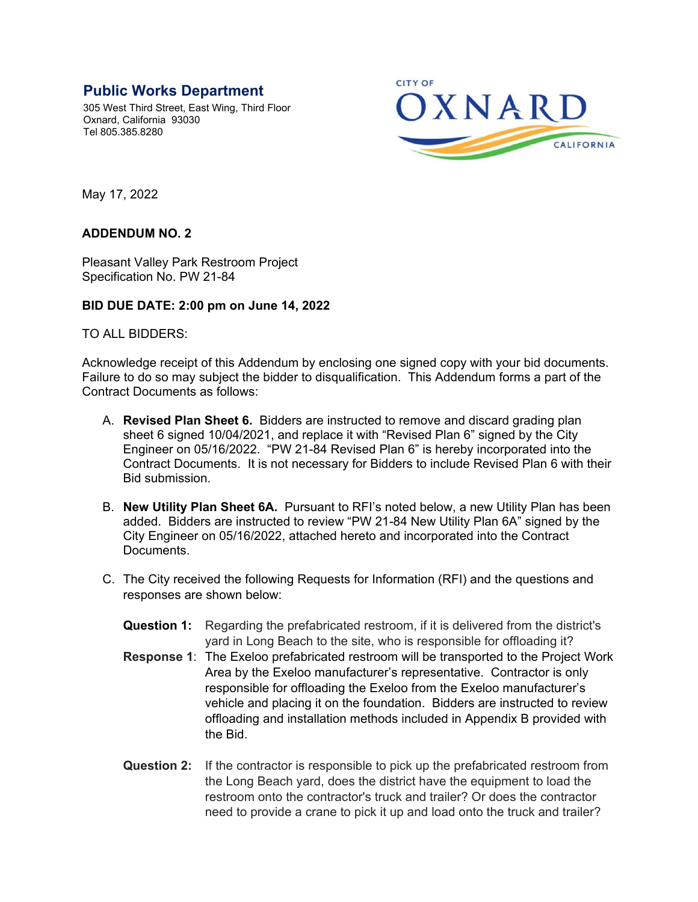## **Public Works Department**

305 West Third Street, East Wing, Third Floor Oxnard, California 93030 Tel 805.385.8280



May 17, 2022

## **ADDENDUM NO. 2**

Pleasant Valley Park Restroom Project Specification No. PW 21-84

## **BID DUE DATE: 2:00 pm on June 14, 2022**

TO ALL BIDDERS:

Acknowledge receipt of this Addendum by enclosing one signed copy with your bid documents. Failure to do so may subject the bidder to disqualification. This Addendum forms a part of the Contract Documents as follows:

- A. **Revised Plan Sheet 6.** Bidders are instructed to remove and discard grading plan sheet 6 signed 10/04/2021, and replace it with "Revised Plan 6" signed by the City Engineer on 05/16/2022. "PW 21-84 Revised Plan 6" is hereby incorporated into the Contract Documents. It is not necessary for Bidders to include Revised Plan 6 with their Bid submission.
- B. **New Utility Plan Sheet 6A.** Pursuant to RFI's noted below, a new Utility Plan has been added. Bidders are instructed to review "PW 21-84 New Utility Plan 6A" signed by the City Engineer on 05/16/2022, attached hereto and incorporated into the Contract Documents.
- C. The City received the following Requests for Information (RFI) and the questions and responses are shown below:
	- **Question 1:** Regarding the prefabricated restroom, if it is delivered from the district's yard in Long Beach to the site, who is responsible for offloading it?
	- **Response 1**: The Exeloo prefabricated restroom will be transported to the Project Work Area by the Exeloo manufacturer's representative. Contractor is only responsible for offloading the Exeloo from the Exeloo manufacturer's vehicle and placing it on the foundation. Bidders are instructed to review offloading and installation methods included in Appendix B provided with the Bid.
	- **Question 2:** If the contractor is responsible to pick up the prefabricated restroom from the Long Beach yard, does the district have the equipment to load the restroom onto the contractor's truck and trailer? Or does the contractor need to provide a crane to pick it up and load onto the truck and trailer?